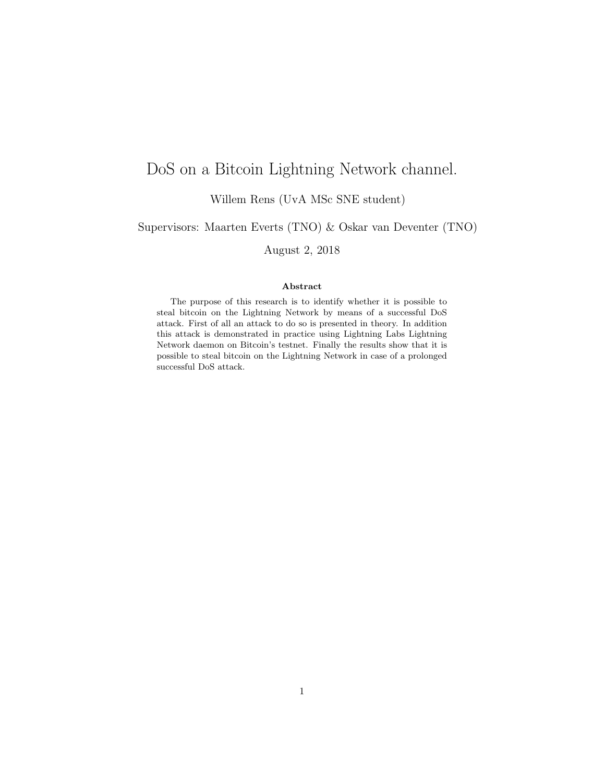# DoS on a Bitcoin Lightning Network channel.

Willem Rens (UvA MSc SNE student)

Supervisors: Maarten Everts (TNO) & Oskar van Deventer (TNO)

August 2, 2018

#### Abstract

The purpose of this research is to identify whether it is possible to steal bitcoin on the Lightning Network by means of a successful DoS attack. First of all an attack to do so is presented in theory. In addition this attack is demonstrated in practice using Lightning Labs Lightning Network daemon on Bitcoin's testnet. Finally the results show that it is possible to steal bitcoin on the Lightning Network in case of a prolonged successful DoS attack.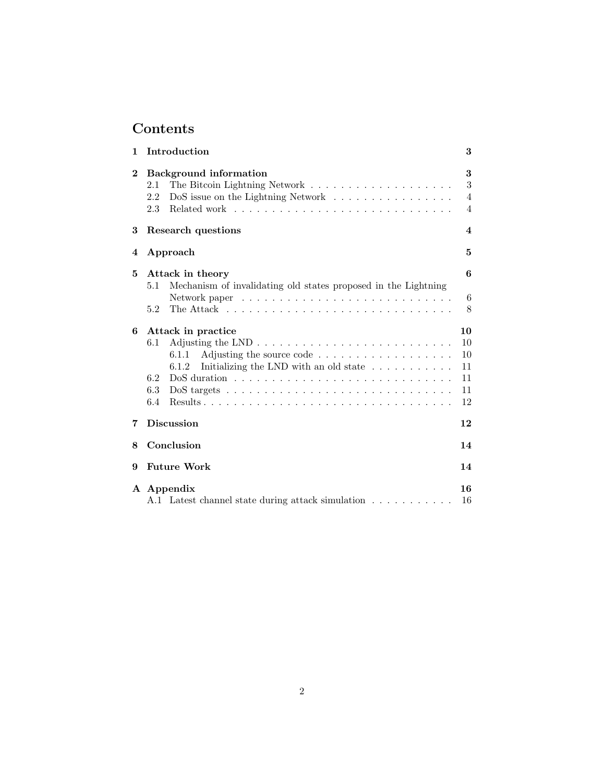## Contents

| 1        | Introduction                                                                              | 3              |  |
|----------|-------------------------------------------------------------------------------------------|----------------|--|
| $\bf{2}$ | <b>Background</b> information<br>2.1                                                      | 3<br>3         |  |
|          | DoS issue on the Lightning Network<br>2.2                                                 | $\overline{4}$ |  |
|          | 2.3                                                                                       | $\overline{4}$ |  |
| 3        | Research questions<br>Approach                                                            |                |  |
| 4        |                                                                                           |                |  |
| 5        | Attack in theory<br>Mechanism of invalidating old states proposed in the Lightning<br>5.1 | 6              |  |
|          | Network paper $\dots \dots \dots \dots \dots \dots \dots \dots \dots \dots \dots$         | 6              |  |
|          | The Attack $\ldots \ldots \ldots \ldots \ldots \ldots \ldots \ldots \ldots \ldots$<br>5.2 | 8              |  |
| 6        | Attack in practice                                                                        | 10             |  |
|          | 6.1                                                                                       | 10             |  |
|          | 6.1.1                                                                                     | 10             |  |
|          | Initializing the LND with an old state $\ldots \ldots \ldots$<br>6.1.2                    | 11             |  |
|          | 6.2                                                                                       | 11             |  |
|          | 6.3                                                                                       | 11             |  |
|          | 6.4                                                                                       | 12             |  |
| 7        | <b>Discussion</b><br>12                                                                   |                |  |
| 8        | Conclusion<br>14                                                                          |                |  |
| 9        | <b>Future Work</b><br>14                                                                  |                |  |
| A        | Appendix                                                                                  | 16             |  |
|          | A.1 Latest channel state during attack simulation                                         | 16             |  |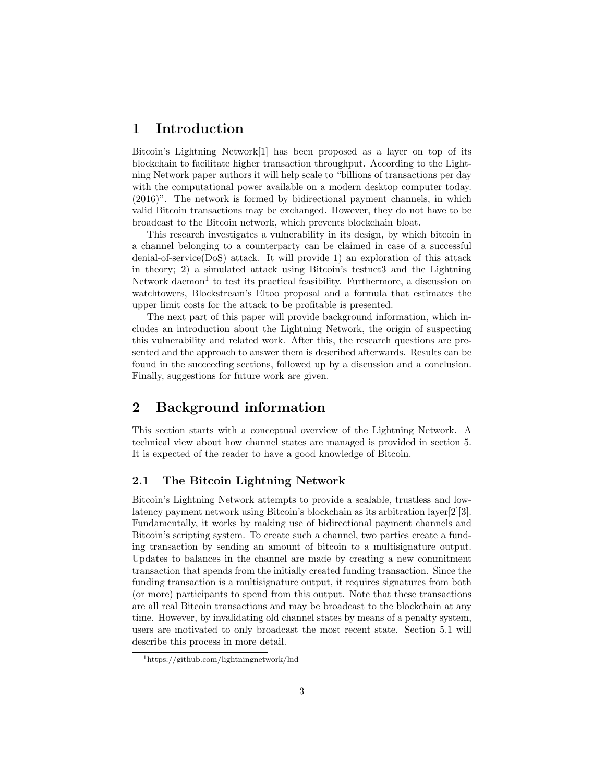## 1 Introduction

Bitcoin's Lightning Network[1] has been proposed as a layer on top of its blockchain to facilitate higher transaction throughput. According to the Lightning Network paper authors it will help scale to "billions of transactions per day with the computational power available on a modern desktop computer today. (2016)". The network is formed by bidirectional payment channels, in which valid Bitcoin transactions may be exchanged. However, they do not have to be broadcast to the Bitcoin network, which prevents blockchain bloat.

This research investigates a vulnerability in its design, by which bitcoin in a channel belonging to a counterparty can be claimed in case of a successful denial-of-service(DoS) attack. It will provide 1) an exploration of this attack in theory; 2) a simulated attack using Bitcoin's testnet3 and the Lightning Network daemon<sup>1</sup> to test its practical feasibility. Furthermore, a discussion on watchtowers, Blockstream's Eltoo proposal and a formula that estimates the upper limit costs for the attack to be profitable is presented.

The next part of this paper will provide background information, which includes an introduction about the Lightning Network, the origin of suspecting this vulnerability and related work. After this, the research questions are presented and the approach to answer them is described afterwards. Results can be found in the succeeding sections, followed up by a discussion and a conclusion. Finally, suggestions for future work are given.

## 2 Background information

This section starts with a conceptual overview of the Lightning Network. A technical view about how channel states are managed is provided in section 5. It is expected of the reader to have a good knowledge of Bitcoin.

## 2.1 The Bitcoin Lightning Network

Bitcoin's Lightning Network attempts to provide a scalable, trustless and lowlatency payment network using Bitcoin's blockchain as its arbitration layer[2][3]. Fundamentally, it works by making use of bidirectional payment channels and Bitcoin's scripting system. To create such a channel, two parties create a funding transaction by sending an amount of bitcoin to a multisignature output. Updates to balances in the channel are made by creating a new commitment transaction that spends from the initially created funding transaction. Since the funding transaction is a multisignature output, it requires signatures from both (or more) participants to spend from this output. Note that these transactions are all real Bitcoin transactions and may be broadcast to the blockchain at any time. However, by invalidating old channel states by means of a penalty system, users are motivated to only broadcast the most recent state. Section 5.1 will describe this process in more detail.

<sup>1</sup>https://github.com/lightningnetwork/lnd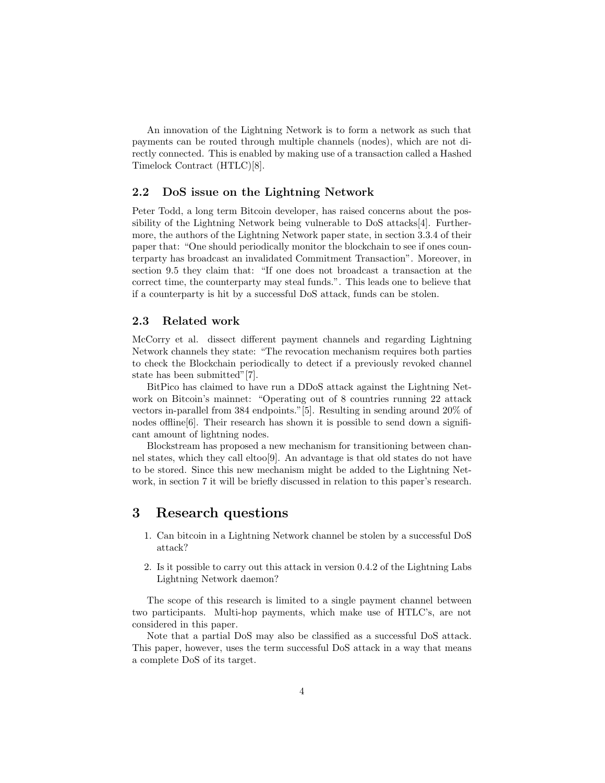An innovation of the Lightning Network is to form a network as such that payments can be routed through multiple channels (nodes), which are not directly connected. This is enabled by making use of a transaction called a Hashed Timelock Contract (HTLC)[8].

#### 2.2 DoS issue on the Lightning Network

Peter Todd, a long term Bitcoin developer, has raised concerns about the possibility of the Lightning Network being vulnerable to DoS attacks[4]. Furthermore, the authors of the Lightning Network paper state, in section 3.3.4 of their paper that: "One should periodically monitor the blockchain to see if ones counterparty has broadcast an invalidated Commitment Transaction". Moreover, in section 9.5 they claim that: "If one does not broadcast a transaction at the correct time, the counterparty may steal funds.". This leads one to believe that if a counterparty is hit by a successful DoS attack, funds can be stolen.

#### 2.3 Related work

McCorry et al. dissect different payment channels and regarding Lightning Network channels they state: "The revocation mechanism requires both parties to check the Blockchain periodically to detect if a previously revoked channel state has been submitted"[7].

BitPico has claimed to have run a DDoS attack against the Lightning Network on Bitcoin's mainnet: "Operating out of 8 countries running 22 attack vectors in-parallel from 384 endpoints."[5]. Resulting in sending around 20% of nodes offline  $[6]$ . Their research has shown it is possible to send down a significant amount of lightning nodes.

Blockstream has proposed a new mechanism for transitioning between channel states, which they call eltoo[9]. An advantage is that old states do not have to be stored. Since this new mechanism might be added to the Lightning Network, in section 7 it will be briefly discussed in relation to this paper's research.

## 3 Research questions

- 1. Can bitcoin in a Lightning Network channel be stolen by a successful DoS attack?
- 2. Is it possible to carry out this attack in version 0.4.2 of the Lightning Labs Lightning Network daemon?

The scope of this research is limited to a single payment channel between two participants. Multi-hop payments, which make use of HTLC's, are not considered in this paper.

Note that a partial DoS may also be classified as a successful DoS attack. This paper, however, uses the term successful DoS attack in a way that means a complete DoS of its target.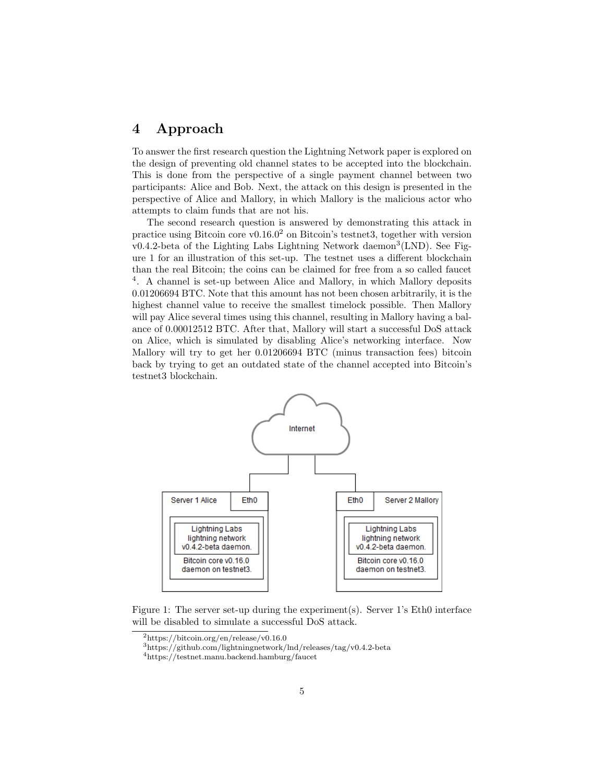## 4 Approach

To answer the first research question the Lightning Network paper is explored on the design of preventing old channel states to be accepted into the blockchain. This is done from the perspective of a single payment channel between two participants: Alice and Bob. Next, the attack on this design is presented in the perspective of Alice and Mallory, in which Mallory is the malicious actor who attempts to claim funds that are not his.

The second research question is answered by demonstrating this attack in practice using Bitcoin core v0.16.0<sup>2</sup> on Bitcoin's testnet3, together with version v0.4.2-beta of the Lighting Labs Lightning Network daemon<sup>3</sup>(LND). See Figure 1 for an illustration of this set-up. The testnet uses a different blockchain than the real Bitcoin; the coins can be claimed for free from a so called faucet 4 . A channel is set-up between Alice and Mallory, in which Mallory deposits 0.01206694 BTC. Note that this amount has not been chosen arbitrarily, it is the highest channel value to receive the smallest timelock possible. Then Mallory will pay Alice several times using this channel, resulting in Mallory having a balance of 0.00012512 BTC. After that, Mallory will start a successful DoS attack on Alice, which is simulated by disabling Alice's networking interface. Now Mallory will try to get her 0.01206694 BTC (minus transaction fees) bitcoin back by trying to get an outdated state of the channel accepted into Bitcoin's testnet3 blockchain.



Figure 1: The server set-up during the experiment(s). Server 1's Eth0 interface will be disabled to simulate a successful DoS attack.

<sup>2</sup>https://bitcoin.org/en/release/v0.16.0

<sup>3</sup>https://github.com/lightningnetwork/lnd/releases/tag/v0.4.2-beta

 $^4\rm{https://testnet.manu.backend.hamburg/fauct}$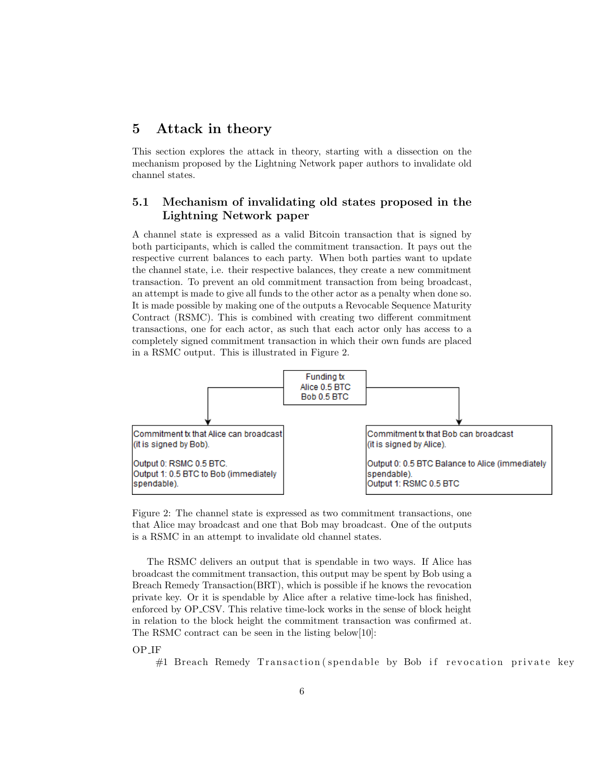## 5 Attack in theory

This section explores the attack in theory, starting with a dissection on the mechanism proposed by the Lightning Network paper authors to invalidate old channel states.

#### 5.1 Mechanism of invalidating old states proposed in the Lightning Network paper

A channel state is expressed as a valid Bitcoin transaction that is signed by both participants, which is called the commitment transaction. It pays out the respective current balances to each party. When both parties want to update the channel state, i.e. their respective balances, they create a new commitment transaction. To prevent an old commitment transaction from being broadcast, an attempt is made to give all funds to the other actor as a penalty when done so. It is made possible by making one of the outputs a Revocable Sequence Maturity Contract (RSMC). This is combined with creating two different commitment transactions, one for each actor, as such that each actor only has access to a completely signed commitment transaction in which their own funds are placed in a RSMC output. This is illustrated in Figure 2.



Figure 2: The channel state is expressed as two commitment transactions, one that Alice may broadcast and one that Bob may broadcast. One of the outputs is a RSMC in an attempt to invalidate old channel states.

The RSMC delivers an output that is spendable in two ways. If Alice has broadcast the commitment transaction, this output may be spent by Bob using a Breach Remedy Transaction(BRT), which is possible if he knows the revocation private key. Or it is spendable by Alice after a relative time-lock has finished, enforced by OP CSV. This relative time-lock works in the sense of block height in relation to the block height the commitment transaction was confirmed at. The RSMC contract can be seen in the listing below[10]:

#### OP IF

#1 Breach Remedy Transaction (spendable by Bob if revocation private key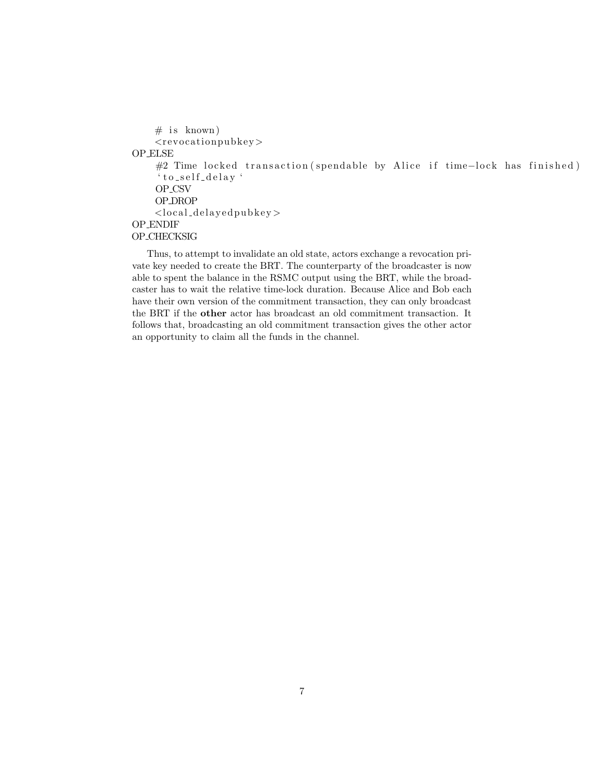```
# is known)
    <revocationpubkey>
OP ELSE
    #2 Time locked transaction (spendable by Alice if time-lock has finished)
    ' to_self_delay 'OP_CSV
    OP DROP
    <local_delayedpubkey>
OP ENDIF
OP CHECKSIG
```
Thus, to attempt to invalidate an old state, actors exchange a revocation private key needed to create the BRT. The counterparty of the broadcaster is now able to spent the balance in the RSMC output using the BRT, while the broadcaster has to wait the relative time-lock duration. Because Alice and Bob each have their own version of the commitment transaction, they can only broadcast the BRT if the other actor has broadcast an old commitment transaction. It follows that, broadcasting an old commitment transaction gives the other actor an opportunity to claim all the funds in the channel.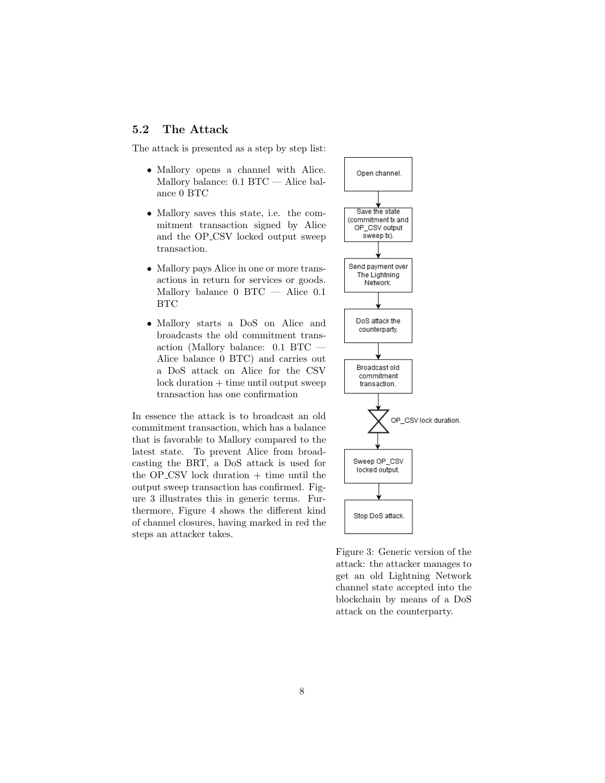## 5.2 The Attack

The attack is presented as a step by step list:

- Mallory opens a channel with Alice. Mallory balance: 0.1 BTC — Alice balance 0 BTC
- Mallory saves this state, i.e. the commitment transaction signed by Alice and the OP CSV locked output sweep transaction.
- Mallory pays Alice in one or more transactions in return for services or goods. Mallory balance  $0$  BTC  $-$  Alice  $0.1$ BTC
- Mallory starts a DoS on Alice and broadcasts the old commitment transaction (Mallory balance: 0.1 BTC — Alice balance 0 BTC) and carries out a DoS attack on Alice for the CSV lock duration + time until output sweep transaction has one confirmation

In essence the attack is to broadcast an old commitment transaction, which has a balance that is favorable to Mallory compared to the latest state. To prevent Alice from broadcasting the BRT, a DoS attack is used for the  $OP$ <sub>-CSV</sub> lock duration  $+$  time until the output sweep transaction has confirmed. Figure 3 illustrates this in generic terms. Furthermore, Figure 4 shows the different kind of channel closures, having marked in red the steps an attacker takes.



Figure 3: Generic version of the attack: the attacker manages to get an old Lightning Network channel state accepted into the blockchain by means of a DoS attack on the counterparty.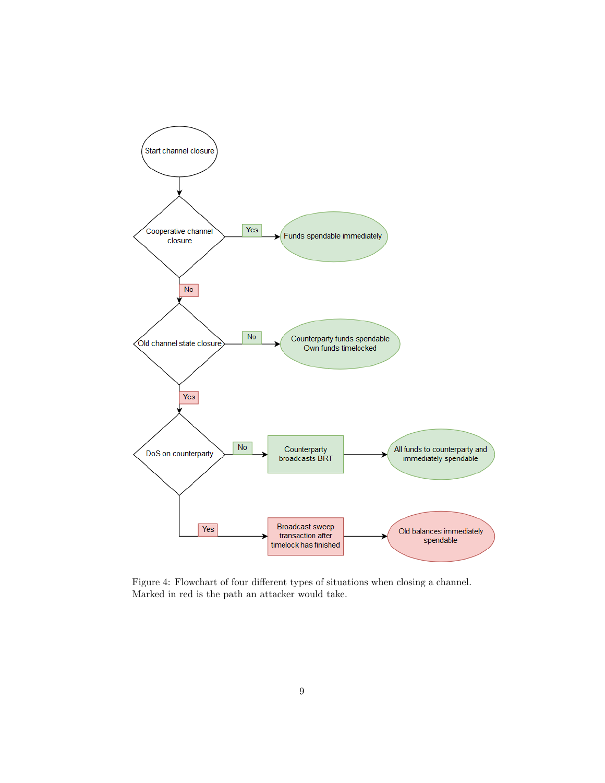

Figure 4: Flowchart of four different types of situations when closing a channel. Marked in red is the path an attacker would take.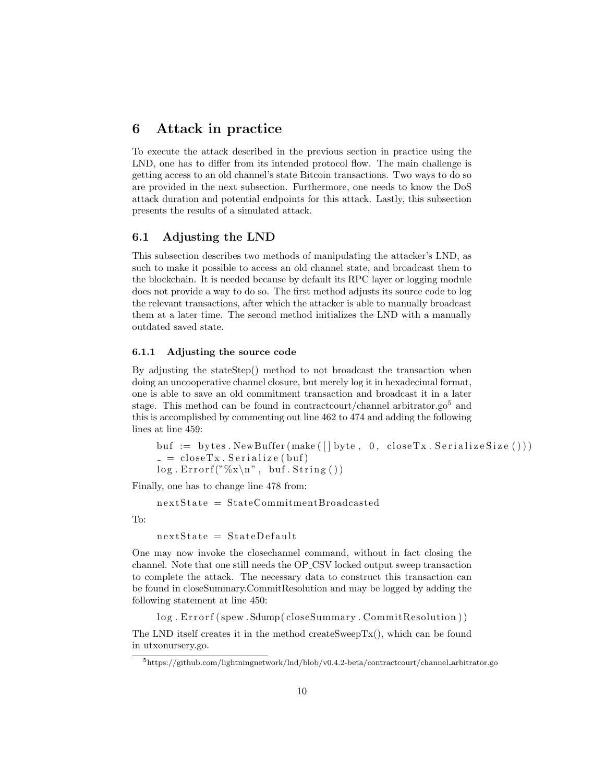## 6 Attack in practice

To execute the attack described in the previous section in practice using the LND, one has to differ from its intended protocol flow. The main challenge is getting access to an old channel's state Bitcoin transactions. Two ways to do so are provided in the next subsection. Furthermore, one needs to know the DoS attack duration and potential endpoints for this attack. Lastly, this subsection presents the results of a simulated attack.

#### 6.1 Adjusting the LND

This subsection describes two methods of manipulating the attacker's LND, as such to make it possible to access an old channel state, and broadcast them to the blockchain. It is needed because by default its RPC layer or logging module does not provide a way to do so. The first method adjusts its source code to log the relevant transactions, after which the attacker is able to manually broadcast them at a later time. The second method initializes the LND with a manually outdated saved state.

#### 6.1.1 Adjusting the source code

By adjusting the stateStep() method to not broadcast the transaction when doing an uncooperative channel closure, but merely log it in hexadecimal format, one is able to save an old commitment transaction and broadcast it in a later stage. This method can be found in contractcourt/channel\_arbitrator.go<sup>5</sup> and this is accomplished by commenting out line 462 to 474 and adding the following lines at line 459:

buf := bytes. NewBuffer (make  $([$  byte, 0, closeTx. SerializeSize  $()$ ))  $=$  closeTx. Serialize (buf)  $\log$  . Errorf ("%x\n", buf . String ())

Finally, one has to change line 478 from:

 $nextState = StateCommitment Broadcasting$ 

To:

 $nextState = StateDefault$ 

One may now invoke the closechannel command, without in fact closing the channel. Note that one still needs the OP CSV locked output sweep transaction to complete the attack. The necessary data to construct this transaction can be found in closeSummary.CommitResolution and may be logged by adding the following statement at line 450:

log. Errorf (spew. Sdump(closeSummary. CommitResolution))

The LND itself creates it in the method createSweepTx(), which can be found in utxonursery.go.

 $5$ https://github.com/lightningnetwork/lnd/blob/v0.4.2-beta/contractcourt/channel\_arbitrator.go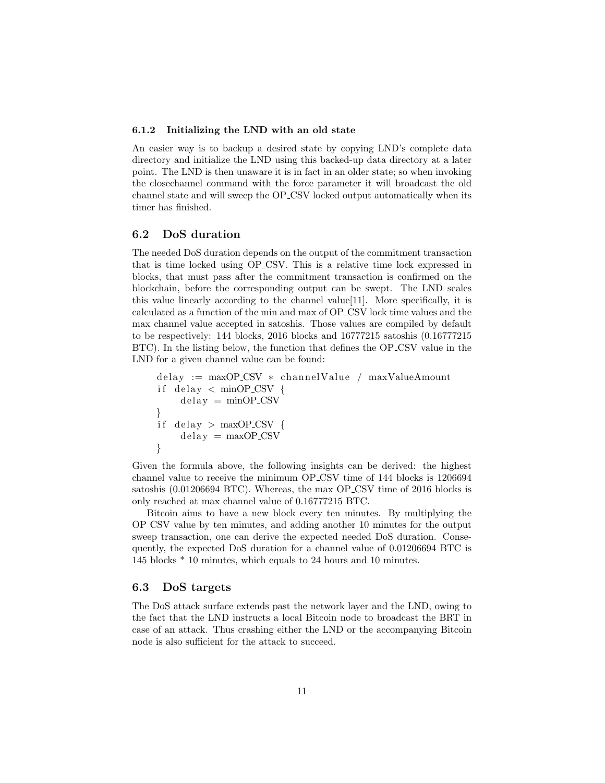#### 6.1.2 Initializing the LND with an old state

An easier way is to backup a desired state by copying LND's complete data directory and initialize the LND using this backed-up data directory at a later point. The LND is then unaware it is in fact in an older state; so when invoking the closechannel command with the force parameter it will broadcast the old channel state and will sweep the OP CSV locked output automatically when its timer has finished.

#### 6.2 DoS duration

The needed DoS duration depends on the output of the commitment transaction that is time locked using OP CSV. This is a relative time lock expressed in blocks, that must pass after the commitment transaction is confirmed on the blockchain, before the corresponding output can be swept. The LND scales this value linearly according to the channel value[11]. More specifically, it is calculated as a function of the min and max of OP CSV lock time values and the max channel value accepted in satoshis. Those values are compiled by default to be respectively: 144 blocks, 2016 blocks and 16777215 satoshis (0.16777215 BTC). In the listing below, the function that defines the OP CSV value in the LND for a given channel value can be found:

```
delay := maxOP_CSV * channelValue / maxValueAmountif delay < minOP_CSV {
    delay = minOP_CSV}
if delay > maxOP_CSV {
    delay = maxOP_CSV}
```
Given the formula above, the following insights can be derived: the highest channel value to receive the minimum OP CSV time of 144 blocks is 1206694 satoshis (0.01206694 BTC). Whereas, the max OP CSV time of 2016 blocks is only reached at max channel value of 0.16777215 BTC.

Bitcoin aims to have a new block every ten minutes. By multiplying the OP CSV value by ten minutes, and adding another 10 minutes for the output sweep transaction, one can derive the expected needed DoS duration. Consequently, the expected DoS duration for a channel value of 0.01206694 BTC is 145 blocks \* 10 minutes, which equals to 24 hours and 10 minutes.

#### 6.3 DoS targets

The DoS attack surface extends past the network layer and the LND, owing to the fact that the LND instructs a local Bitcoin node to broadcast the BRT in case of an attack. Thus crashing either the LND or the accompanying Bitcoin node is also sufficient for the attack to succeed.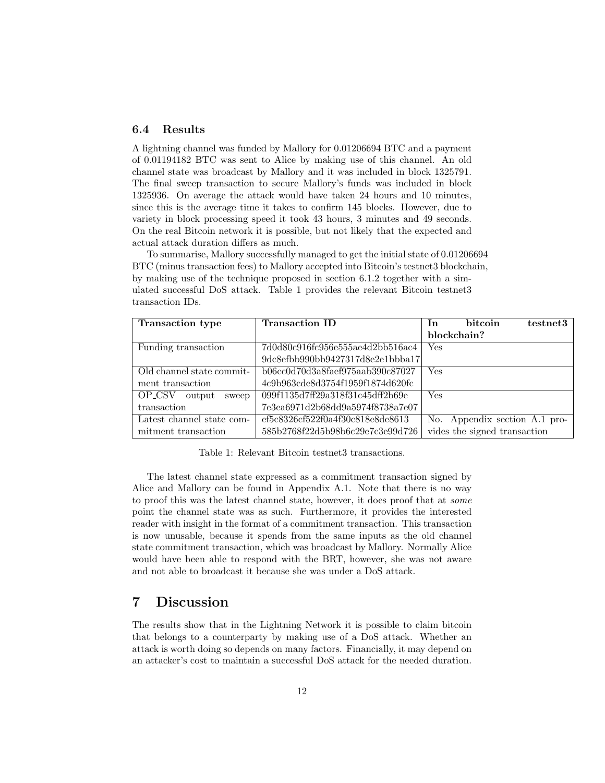#### 6.4 Results

A lightning channel was funded by Mallory for 0.01206694 BTC and a payment of 0.01194182 BTC was sent to Alice by making use of this channel. An old channel state was broadcast by Mallory and it was included in block 1325791. The final sweep transaction to secure Mallory's funds was included in block 1325936. On average the attack would have taken 24 hours and 10 minutes, since this is the average time it takes to confirm 145 blocks. However, due to variety in block processing speed it took 43 hours, 3 minutes and 49 seconds. On the real Bitcoin network it is possible, but not likely that the expected and actual attack duration differs as much.

To summarise, Mallory successfully managed to get the initial state of 0.01206694 BTC (minus transaction fees) to Mallory accepted into Bitcoin's testnet3 blockchain, by making use of the technique proposed in section 6.1.2 together with a simulated successful DoS attack. Table 1 provides the relevant Bitcoin testnet3 transaction IDs.

| <b>Transaction type</b>   | <b>Transaction ID</b>            | <b>bitcoin</b><br>In<br>testnet3 |
|---------------------------|----------------------------------|----------------------------------|
|                           |                                  | blockchain?                      |
| Funding transaction       | 7d0d80c916fc956e555ae4d2bb516ac4 | Yes                              |
|                           | 9dc8efbb990bb9427317d8e2e1bbba17 |                                  |
| Old channel state commit- | b06cc0d70d3a8faef975aab390c87027 | Yes                              |
| ment transaction          | 4c9b963cde8d3754f1959f1874d620fc |                                  |
| OP_CSV<br>output<br>sweep | 099f1135d7ff29a318f31c45dff2b69e | Yes                              |
| transaction               | 7e3ea6971d2b68dd9a5974f8738a7e07 |                                  |
| Latest channel state com- | ef5c8326cf522f0a4f30c818e8de8613 | No. Appendix section A.1 pro-    |
| mitment transaction       | 585b2768f22d5b98b6c29e7c3e99d726 | vides the signed transaction     |

Table 1: Relevant Bitcoin testnet3 transactions.

The latest channel state expressed as a commitment transaction signed by Alice and Mallory can be found in Appendix A.1. Note that there is no way to proof this was the latest channel state, however, it does proof that at some point the channel state was as such. Furthermore, it provides the interested reader with insight in the format of a commitment transaction. This transaction is now unusable, because it spends from the same inputs as the old channel state commitment transaction, which was broadcast by Mallory. Normally Alice would have been able to respond with the BRT, however, she was not aware and not able to broadcast it because she was under a DoS attack.

## 7 Discussion

The results show that in the Lightning Network it is possible to claim bitcoin that belongs to a counterparty by making use of a DoS attack. Whether an attack is worth doing so depends on many factors. Financially, it may depend on an attacker's cost to maintain a successful DoS attack for the needed duration.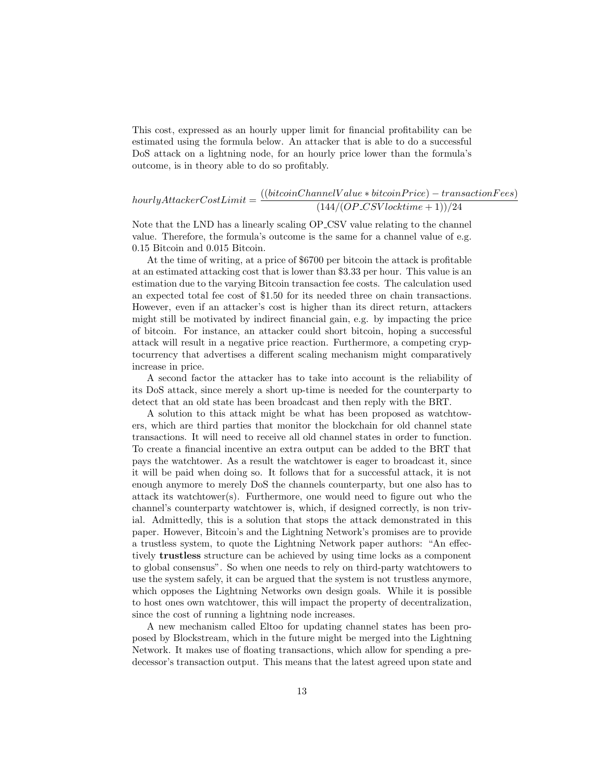This cost, expressed as an hourly upper limit for financial profitability can be estimated using the formula below. An attacker that is able to do a successful DoS attack on a lightning node, for an hourly price lower than the formula's outcome, is in theory able to do so profitably.

#### $hourly AttackerCostLimit = \frac{((bitcoinChannelValue * bitcoinPrice) - transactionFees)}{(144\angle CP \text{ GOM} + bit \text{ GOM} + bit \text{ GOM} + bit \text{ GOM} + bit \text{ GOM} + bit \text{ GOM} + bit \text{ GOM} + bit \text{ GOM} + bit \text{ GOM} + bit \text{ GOM} + bit \text{ GOM} + bit \text{ GOM} + bit \text{ GOM} + bit \text{ GOM} + bit \text{ GOM} + bit \text{ GOM} + bit \text{ GOM} + bit \text{ GOM} + bit \text{ GOM} + bit \text{ GOM} + bit \text{ GOM} + bit \text{ GOM} + bit \text{ GOM} + bit \text{$  $(144/(OP\_CSVlocktime + 1))/24$

Note that the LND has a linearly scaling OP CSV value relating to the channel value. Therefore, the formula's outcome is the same for a channel value of e.g. 0.15 Bitcoin and 0.015 Bitcoin.

At the time of writing, at a price of \$6700 per bitcoin the attack is profitable at an estimated attacking cost that is lower than \$3.33 per hour. This value is an estimation due to the varying Bitcoin transaction fee costs. The calculation used an expected total fee cost of \$1.50 for its needed three on chain transactions. However, even if an attacker's cost is higher than its direct return, attackers might still be motivated by indirect financial gain, e.g. by impacting the price of bitcoin. For instance, an attacker could short bitcoin, hoping a successful attack will result in a negative price reaction. Furthermore, a competing cryptocurrency that advertises a different scaling mechanism might comparatively increase in price.

A second factor the attacker has to take into account is the reliability of its DoS attack, since merely a short up-time is needed for the counterparty to detect that an old state has been broadcast and then reply with the BRT.

A solution to this attack might be what has been proposed as watchtowers, which are third parties that monitor the blockchain for old channel state transactions. It will need to receive all old channel states in order to function. To create a financial incentive an extra output can be added to the BRT that pays the watchtower. As a result the watchtower is eager to broadcast it, since it will be paid when doing so. It follows that for a successful attack, it is not enough anymore to merely DoS the channels counterparty, but one also has to attack its watchtower(s). Furthermore, one would need to figure out who the channel's counterparty watchtower is, which, if designed correctly, is non trivial. Admittedly, this is a solution that stops the attack demonstrated in this paper. However, Bitcoin's and the Lightning Network's promises are to provide a trustless system, to quote the Lightning Network paper authors: "An effectively trustless structure can be achieved by using time locks as a component to global consensus". So when one needs to rely on third-party watchtowers to use the system safely, it can be argued that the system is not trustless anymore, which opposes the Lightning Networks own design goals. While it is possible to host ones own watchtower, this will impact the property of decentralization, since the cost of running a lightning node increases.

A new mechanism called Eltoo for updating channel states has been proposed by Blockstream, which in the future might be merged into the Lightning Network. It makes use of floating transactions, which allow for spending a predecessor's transaction output. This means that the latest agreed upon state and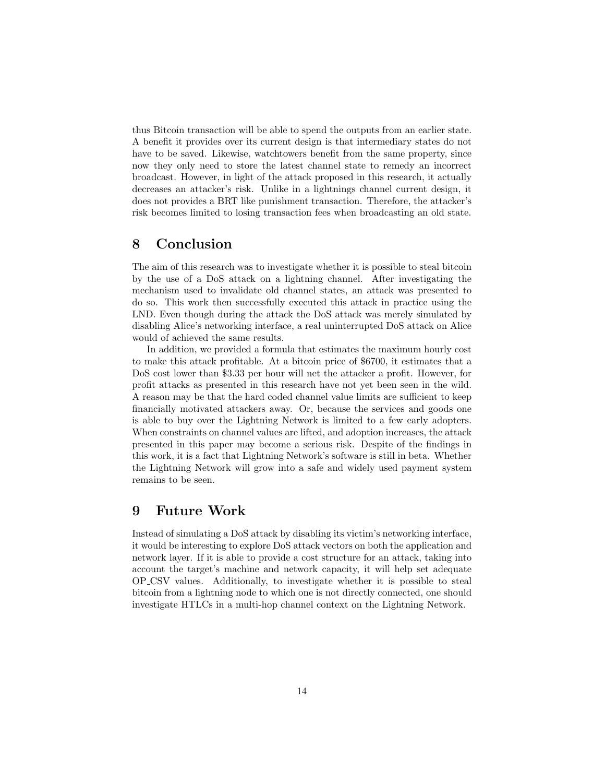thus Bitcoin transaction will be able to spend the outputs from an earlier state. A benefit it provides over its current design is that intermediary states do not have to be saved. Likewise, watchtowers benefit from the same property, since now they only need to store the latest channel state to remedy an incorrect broadcast. However, in light of the attack proposed in this research, it actually decreases an attacker's risk. Unlike in a lightnings channel current design, it does not provides a BRT like punishment transaction. Therefore, the attacker's risk becomes limited to losing transaction fees when broadcasting an old state.

## 8 Conclusion

The aim of this research was to investigate whether it is possible to steal bitcoin by the use of a DoS attack on a lightning channel. After investigating the mechanism used to invalidate old channel states, an attack was presented to do so. This work then successfully executed this attack in practice using the LND. Even though during the attack the DoS attack was merely simulated by disabling Alice's networking interface, a real uninterrupted DoS attack on Alice would of achieved the same results.

In addition, we provided a formula that estimates the maximum hourly cost to make this attack profitable. At a bitcoin price of \$6700, it estimates that a DoS cost lower than \$3.33 per hour will net the attacker a profit. However, for profit attacks as presented in this research have not yet been seen in the wild. A reason may be that the hard coded channel value limits are sufficient to keep financially motivated attackers away. Or, because the services and goods one is able to buy over the Lightning Network is limited to a few early adopters. When constraints on channel values are lifted, and adoption increases, the attack presented in this paper may become a serious risk. Despite of the findings in this work, it is a fact that Lightning Network's software is still in beta. Whether the Lightning Network will grow into a safe and widely used payment system remains to be seen.

## 9 Future Work

Instead of simulating a DoS attack by disabling its victim's networking interface, it would be interesting to explore DoS attack vectors on both the application and network layer. If it is able to provide a cost structure for an attack, taking into account the target's machine and network capacity, it will help set adequate OP CSV values. Additionally, to investigate whether it is possible to steal bitcoin from a lightning node to which one is not directly connected, one should investigate HTLCs in a multi-hop channel context on the Lightning Network.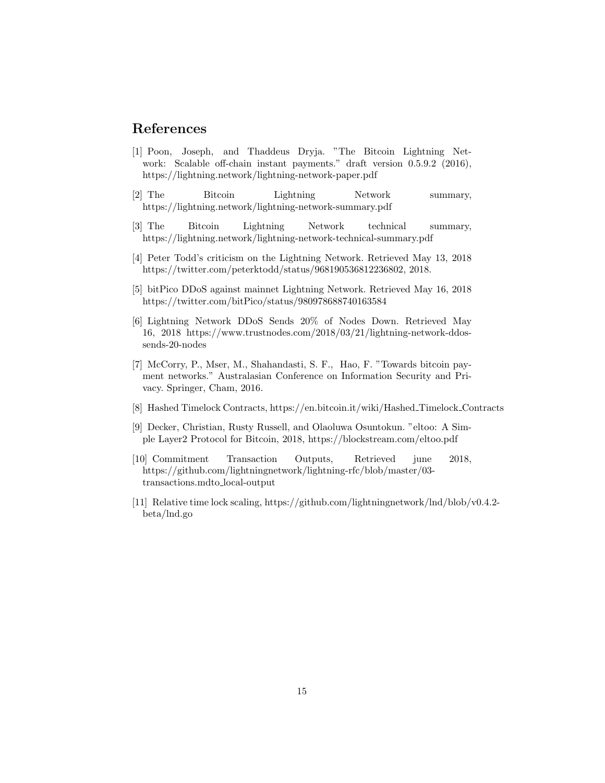## References

- [1] Poon, Joseph, and Thaddeus Dryja. "The Bitcoin Lightning Network: Scalable off-chain instant payments." draft version 0.5.9.2 (2016), https://lightning.network/lightning-network-paper.pdf
- [2] The Bitcoin Lightning Network summary, https://lightning.network/lightning-network-summary.pdf
- [3] The Bitcoin Lightning Network technical summary, https://lightning.network/lightning-network-technical-summary.pdf
- [4] Peter Todd's criticism on the Lightning Network. Retrieved May 13, 2018 https://twitter.com/peterktodd/status/968190536812236802, 2018.
- [5] bitPico DDoS against mainnet Lightning Network. Retrieved May 16, 2018 https://twitter.com/bitPico/status/980978688740163584
- [6] Lightning Network DDoS Sends 20% of Nodes Down. Retrieved May 16, 2018 https://www.trustnodes.com/2018/03/21/lightning-network-ddossends-20-nodes
- [7] McCorry, P., Mser, M., Shahandasti, S. F., Hao, F. "Towards bitcoin payment networks." Australasian Conference on Information Security and Privacy. Springer, Cham, 2016.
- [8] Hashed Timelock Contracts, https://en.bitcoin.it/wiki/Hashed Timelock Contracts
- [9] Decker, Christian, Rusty Russell, and Olaoluwa Osuntokun. "eltoo: A Simple Layer2 Protocol for Bitcoin, 2018, https://blockstream.com/eltoo.pdf
- [10] Commitment Transaction Outputs, Retrieved june 2018, https://github.com/lightningnetwork/lightning-rfc/blob/master/03 transactions.mdto local-output
- [11] Relative time lock scaling, https://github.com/lightningnetwork/lnd/blob/v0.4.2 beta/lnd.go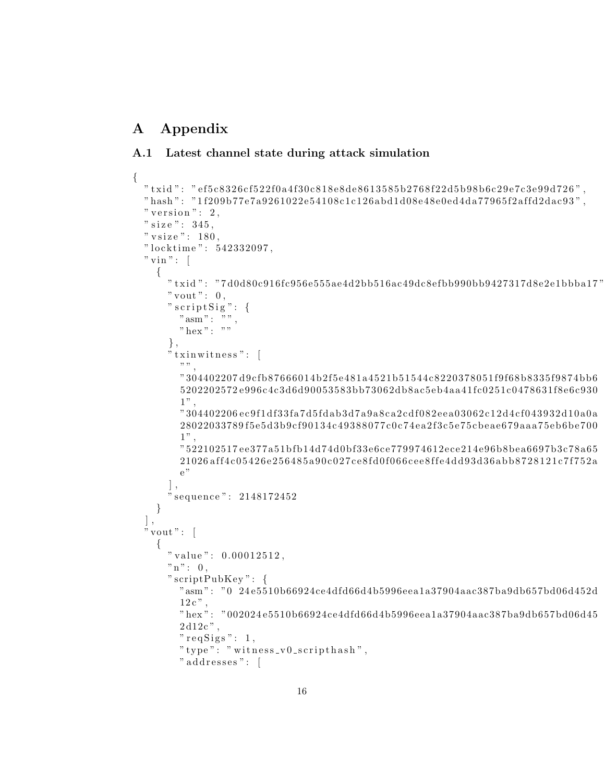## A Appendix

## A.1 Latest channel state during attack simulation

```
{
  " \, \text{trid} \, " : \, " \, \text{ef5c8326cf522f0a4f30c818e8de8613585b2768f22d5b98b6c29e7c3e99d726} \, " , \,"hash": "1f209b77e7a9261022e54108c1c126abd1d08e48e0ed4da77965f2affd2dac93"." version": 2," size " : 345," v size": 180,
  "locktime" : 542332097," vin ": \lceil{
        "txid": "7d0d80c916fc956e555ae4d2bb516ac49dc8efbb990bb9427317d8e2e1bbba17"
        "\mathrm{vout}": 0,
        " s c r i p t S i g " : {
           \sum_{\text{m}}^{\text{max}} : \sum_{\text{m}}^{\text{max}} ,
           " hex " : " "
        } ,
        " txin witness": [
           " " , " \cdot"304402207\,{\rm d}9{\rm cfb}87666014{\rm b}2f5e481{\rm a}4521{\rm b}51544{\rm c}8220378051f9f68{\rm b}8335f9874{\rm b}665202202572 e 9 9 6c 4c 3d 6d 9 0 0 5 3 5 8 3bb 7 3 0 6 2db 8 ac 5eb 4 a a 4 1 fc 0 2 5 1c 0 4 7 8 6 3 1 f 8e 6c 9 3 0
           1",
           "304402206 e c 9 f 1 d f 3 3 f a 7 d 5 f d a b 3 d 7 a 9 a 8 c a 2 c d f 0 8 2 e e a 0 3 0 6 2 c 1 2 d 4 c f 0 4 3 9 3 2 d 1 0 a 0 a
           28022033789 f 5 e 5 d 3 b 9 c f 9 0 1 3 4 c 4 9 3 8 8 0 7 7 c 0 c 7 4 e a 2 f 3 c 5 e 7 5 c b e a e 6 7 9 a a a 7 5 e b 6 b e 7 0 0
           1",
           "522102517 ee 3 7 7 a 5 1b fb 1 4d 7 4d 0b f 3 3e 6ce 7 7 9 9 7 4 6 1 2ece 2 1 4e 9 6b 8be a 6 6 9 7b 3c 7 8 a 6 5
           21026 a f f 4 c 0 5 4 2 6 e 2 5 6 4 8 5 a 9 0 c 0 2 7 c e 8 f d 0 f 0 6 6 c e e 8 f f e 4 d d 9 3 d 3 6 a b b 8 7 2 8 1 2 1 c 7 f 7 5 2 a
           e "
         \vert \hspace{0.5pt} \vert ,
        " sequence ": 2148172452
     }
  \vert,
  " vout": [
      \{" value": 0.00012512,"n": 0,
        " scriptPubKey " : {
           "asm " : "0 24 e5510b66924ce4d fd66d4b5996eea1a37904aac387ba9db657bd06d452d
           12c",
           " hex " : "002024 e5510b66924ce4d fd66d4b5996eea1a37904aac387ba9db657bd06d45
           2 d12c " ,
           " req\text{Sigs}": 1,
           " type": " witness_v0_scripthash",
           " addresses" : [
```